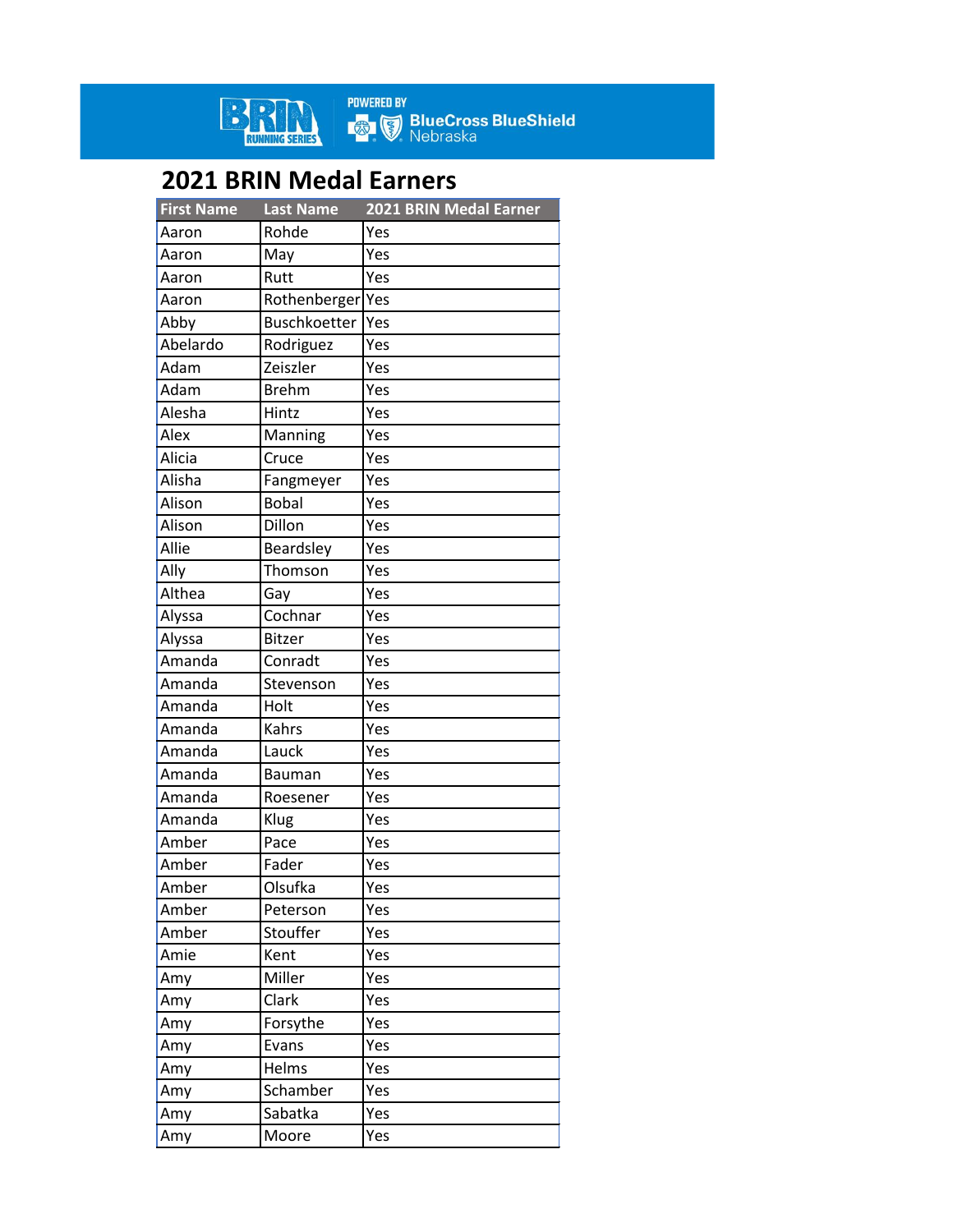

**POWERED BY<br>Example BlueCross BlueShield**<br>Rebraska

## **2021 BRIN Medal Earners**

| <b>First Name</b> | <b>Last Name</b>    | 2021 BRIN Medal Earner |
|-------------------|---------------------|------------------------|
| Aaron             | Rohde               | Yes                    |
| Aaron             | May                 | Yes                    |
| Aaron             | Rutt                | Yes                    |
| Aaron             | Rothenberger        | Yes                    |
| Abby              | <b>Buschkoetter</b> | Yes                    |
| Abelardo          | Rodriguez           | Yes                    |
| Adam              | Zeiszler            | Yes                    |
| Adam              | <b>Brehm</b>        | Yes                    |
| Alesha            | Hintz               | Yes                    |
| Alex              | Manning             | Yes                    |
| Alicia            | Cruce               | Yes                    |
| Alisha            | Fangmeyer           | Yes                    |
| Alison            | <b>Bobal</b>        | Yes                    |
| Alison            | Dillon              | Yes                    |
| Allie             | Beardsley           | Yes                    |
| Ally              | Thomson             | Yes                    |
| Althea            | Gay                 | Yes                    |
| Alyssa            | Cochnar             | Yes                    |
| Alyssa            | Bitzer              | Yes                    |
| Amanda            | Conradt             | Yes                    |
| Amanda            | Stevenson           | Yes                    |
| Amanda            | Holt                | Yes                    |
| Amanda            | Kahrs               | Yes                    |
| Amanda            | Lauck               | Yes                    |
| Amanda            | Bauman              | Yes                    |
| Amanda            | Roesener            | Yes                    |
| Amanda            | Klug                | Yes                    |
| Amber             | Pace                | Yes                    |
| Amber             | Fader               | Yes                    |
| Amber             | Olsufka             | Yes                    |
| Amber             | Peterson            | Yes                    |
| Amber             | Stouffer            | Yes                    |
| Amie              | Kent                | Yes                    |
| Amy               | Miller              | Yes                    |
| Amy               | Clark               | Yes                    |
| Amy               | Forsythe            | Yes                    |
| Amy               | Evans               | Yes                    |
| Amy               | Helms               | Yes                    |
| Amy               | Schamber            | Yes                    |
| Amy               | Sabatka             | Yes                    |
| Amy               | Moore               | Yes                    |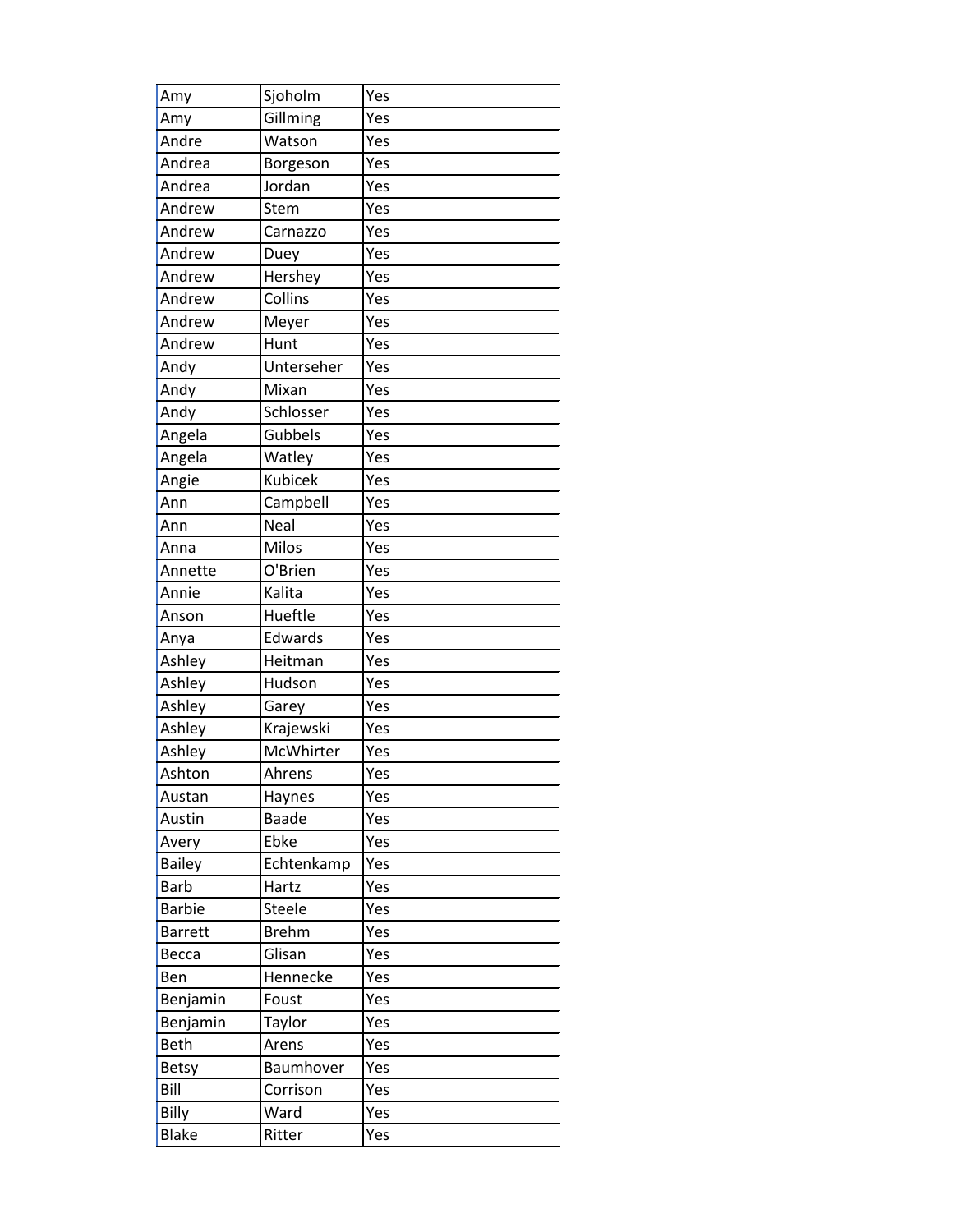| Amy            | Sjoholm        | Yes |
|----------------|----------------|-----|
| Amy            | Gillming       | Yes |
| Andre          | Watson         | Yes |
| Andrea         | Borgeson       | Yes |
| Andrea         | Jordan         | Yes |
| Andrew         | Stem           | Yes |
| Andrew         | Carnazzo       | Yes |
| Andrew         | Duey           | Yes |
| Andrew         | Hershey        | Yes |
| Andrew         | Collins        | Yes |
| Andrew         | Meyer          | Yes |
| Andrew         | Hunt           | Yes |
| Andy           | Unterseher     | Yes |
| Andy           | Mixan          | Yes |
| Andy           | Schlosser      | Yes |
| Angela         | Gubbels        | Yes |
| Angela         | Watley         | Yes |
| Angie          | <b>Kubicek</b> | Yes |
| Ann            | Campbell       | Yes |
| Ann            | Neal           | Yes |
| Anna           | Milos          | Yes |
| Annette        | O'Brien        | Yes |
| Annie          | Kalita         | Yes |
| Anson          | Hueftle        | Yes |
| Anya           | Edwards        | Yes |
| Ashley         | Heitman        | Yes |
| Ashley         | Hudson         | Yes |
| Ashley         | Garey          | Yes |
| Ashley         | Krajewski      | Yes |
| Ashley         | McWhirter      | Yes |
| Ashton         | Ahrens         | Yes |
| Austan         | Haynes         | Yes |
| Austin         | <b>Baade</b>   | Yes |
| Avery          | Ebke           | Yes |
| <b>Bailey</b>  | Echtenkamp     | Yes |
| <b>Barb</b>    | Hartz          | Yes |
| <b>Barbie</b>  | Steele         | Yes |
| <b>Barrett</b> | <b>Brehm</b>   | Yes |
| Becca          | Glisan         | Yes |
| Ben            | Hennecke       | Yes |
| Benjamin       | Foust          | Yes |
| Benjamin       | Taylor         | Yes |
| <b>Beth</b>    | Arens          | Yes |
| <b>Betsy</b>   | Baumhover      | Yes |
| Bill           | Corrison       | Yes |
| Billy          | Ward           | Yes |
| <b>Blake</b>   | Ritter         | Yes |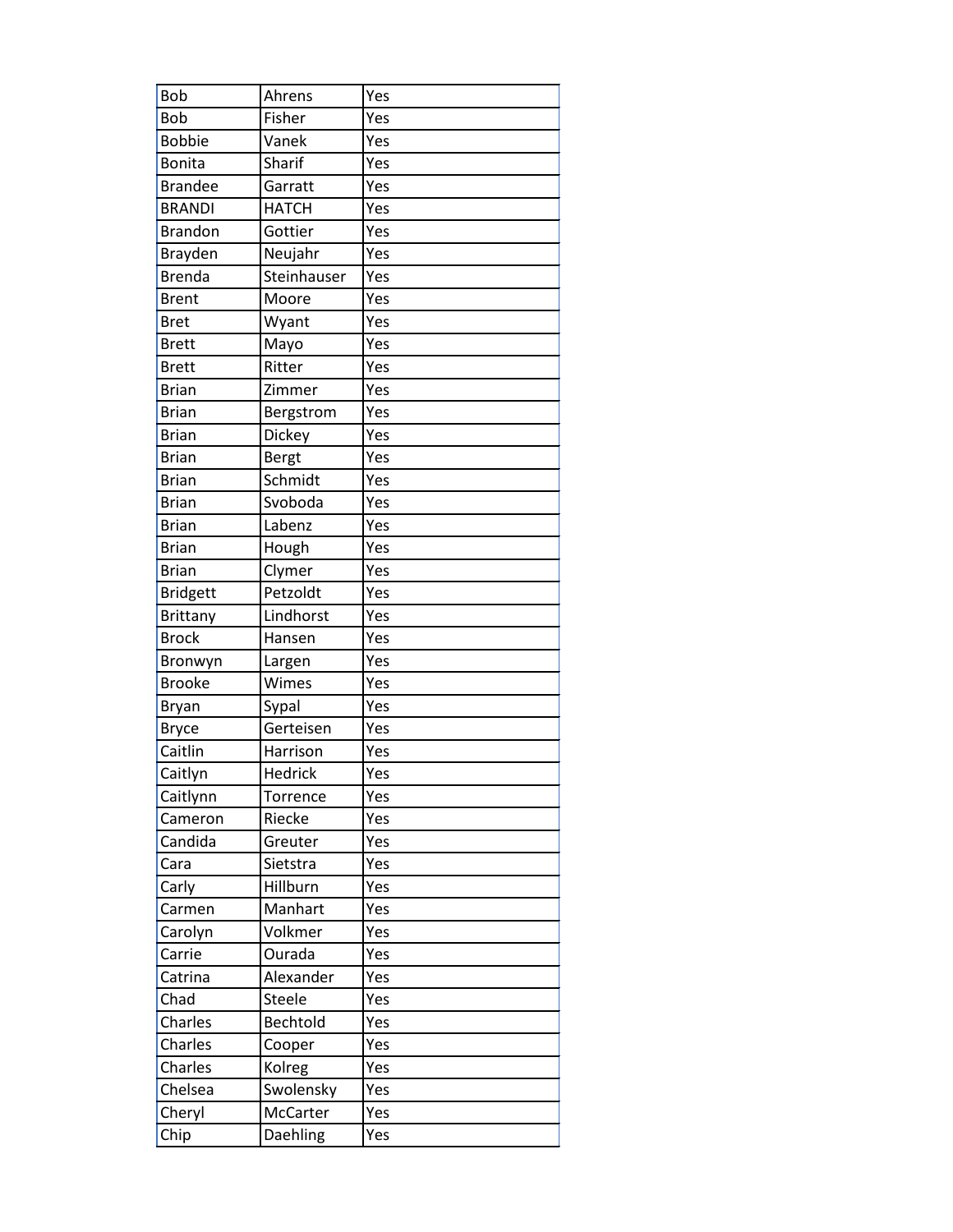| Bob             | Ahrens       | Yes |
|-----------------|--------------|-----|
| Bob             | Fisher       | Yes |
| <b>Bobbie</b>   | Vanek        | Yes |
| <b>Bonita</b>   | Sharif       | Yes |
| <b>Brandee</b>  | Garratt      | Yes |
| <b>BRANDI</b>   | <b>HATCH</b> | Yes |
| <b>Brandon</b>  | Gottier      | Yes |
| Brayden         | Neujahr      | Yes |
| <b>Brenda</b>   | Steinhauser  | Yes |
| <b>Brent</b>    | Moore        | Yes |
| <b>Bret</b>     | Wyant        | Yes |
| <b>Brett</b>    | Mayo         | Yes |
| <b>Brett</b>    | Ritter       | Yes |
| <b>Brian</b>    | Zimmer       | Yes |
| <b>Brian</b>    | Bergstrom    | Yes |
| <b>Brian</b>    | Dickey       | Yes |
| <b>Brian</b>    | Bergt        | Yes |
| <b>Brian</b>    | Schmidt      | Yes |
| <b>Brian</b>    | Svoboda      | Yes |
| <b>Brian</b>    | Labenz       | Yes |
| <b>Brian</b>    | Hough        | Yes |
| <b>Brian</b>    | Clymer       | Yes |
| <b>Bridgett</b> | Petzoldt     | Yes |
| <b>Brittany</b> | Lindhorst    | Yes |
| <b>Brock</b>    | Hansen       | Yes |
| Bronwyn         | Largen       | Yes |
| <b>Brooke</b>   | Wimes        | Yes |
| Bryan           | Sypal        | Yes |
| <b>Bryce</b>    | Gerteisen    | Yes |
| Caitlin         | Harrison     | Yes |
| Caitlyn         | Hedrick      | Yes |
| Caitlynn        | Torrence     | Yes |
| Cameron         | Riecke       | Yes |
| Candida         | Greuter      | Yes |
| Cara            | Sietstra     | Yes |
| Carly           | Hillburn     | Yes |
| Carmen          | Manhart      | Yes |
| Carolyn         | Volkmer      | Yes |
| Carrie          | Ourada       | Yes |
| Catrina         | Alexander    | Yes |
| Chad            | Steele       | Yes |
| Charles         | Bechtold     | Yes |
| Charles         | Cooper       | Yes |
| Charles         | Kolreg       | Yes |
| Chelsea         | Swolensky    | Yes |
| Cheryl          | McCarter     | Yes |
| Chip            | Daehling     | Yes |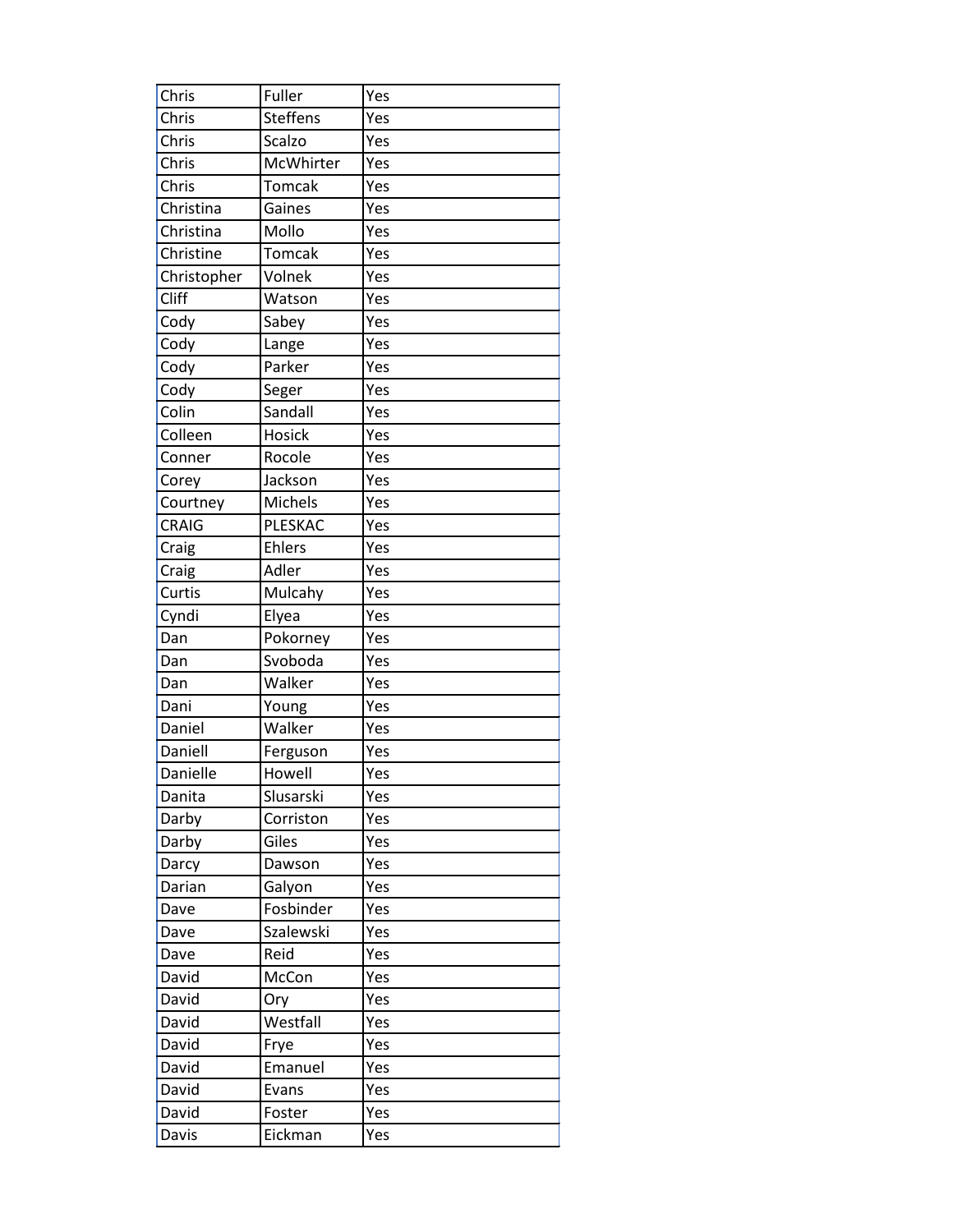| Chris        | Fuller          | Yes |
|--------------|-----------------|-----|
| Chris        | <b>Steffens</b> | Yes |
| Chris        | Scalzo          | Yes |
| Chris        | McWhirter       | Yes |
| Chris        | <b>Tomcak</b>   | Yes |
| Christina    | Gaines          | Yes |
| Christina    | Mollo           | Yes |
| Christine    | <b>Tomcak</b>   | Yes |
| Christopher  | Volnek          | Yes |
| Cliff        | Watson          | Yes |
| Cody         | Sabey           | Yes |
| Cody         | Lange           | Yes |
| Cody         | Parker          | Yes |
| Cody         | Seger           | Yes |
| Colin        | Sandall         | Yes |
| Colleen      | <b>Hosick</b>   | Yes |
| Conner       | Rocole          | Yes |
| Corey        | Jackson         | Yes |
| Courtney     | <b>Michels</b>  | Yes |
| <b>CRAIG</b> | PLESKAC         | Yes |
| Craig        | Ehlers          | Yes |
| Craig        | Adler           | Yes |
| Curtis       | Mulcahy         | Yes |
| Cyndi        | Elyea           | Yes |
| Dan          | Pokorney        | Yes |
| Dan          | Svoboda         | Yes |
| Dan          | Walker          | Yes |
| Dani         | Young           | Yes |
| Daniel       | Walker          | Yes |
| Daniell      | Ferguson        | Yes |
| Danielle     | Howell          | Yes |
| Danita       | Slusarski       | Yes |
| Darby        | Corriston       | Yes |
| Darby        | Giles           | Yes |
| Darcy        | Dawson          | Yes |
| Darian       | Galyon          | Yes |
| Dave         | Fosbinder       | Yes |
| Dave         | Szalewski       | Yes |
| Dave         | Reid            | Yes |
| David        | McCon           | Yes |
| David        | Ory             | Yes |
| David        | Westfall        | Yes |
| David        | Frye            | Yes |
| David        | Emanuel         | Yes |
| David        | Evans           | Yes |
| David        | Foster          | Yes |
| Davis        | Eickman         | Yes |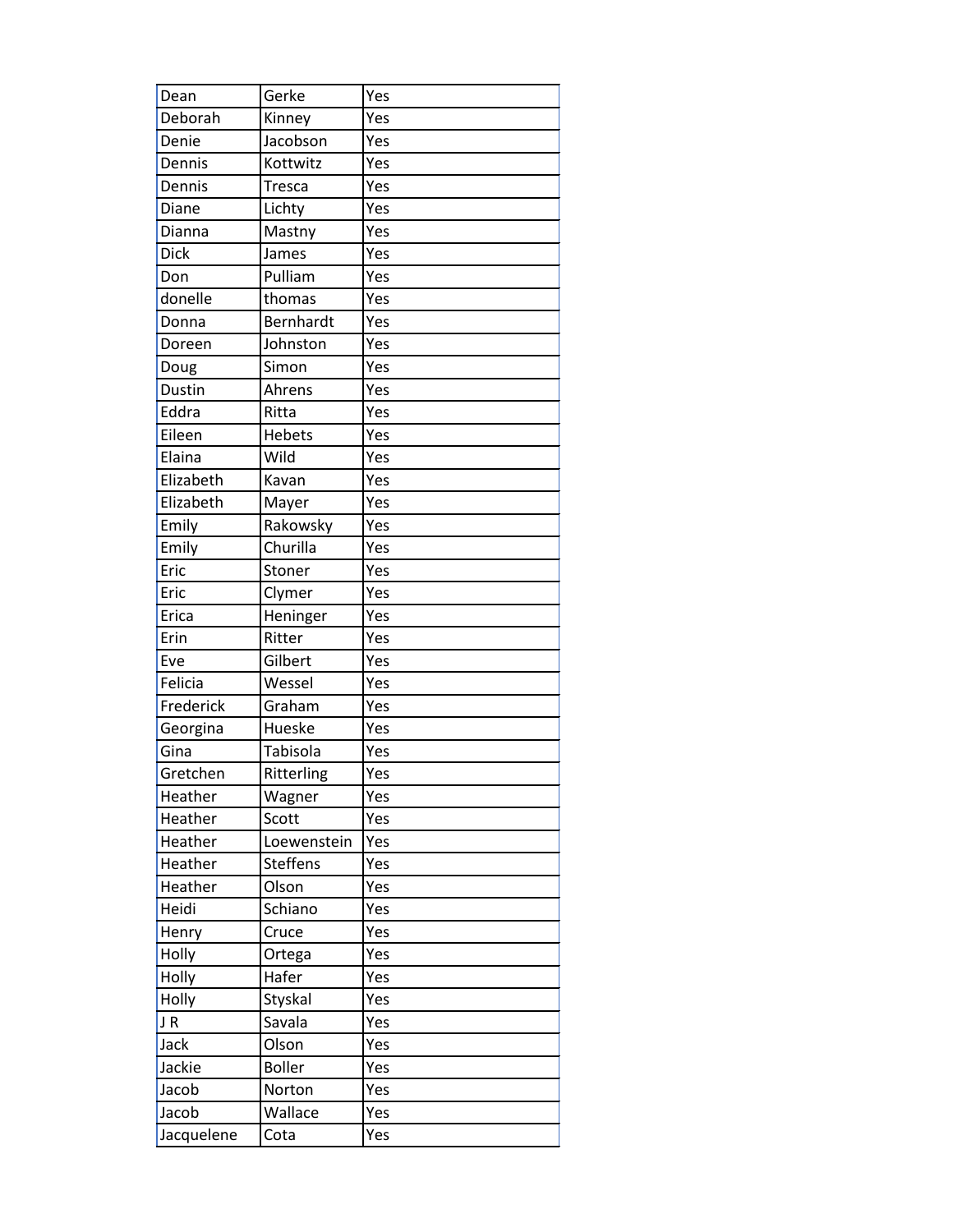| Dean       | Gerke           | Yes |
|------------|-----------------|-----|
| Deborah    | Kinney          | Yes |
| Denie      | Jacobson        | Yes |
| Dennis     | Kottwitz        | Yes |
| Dennis     | <b>Tresca</b>   | Yes |
| Diane      | Lichty          | Yes |
| Dianna     | Mastny          | Yes |
| Dick       | James           | Yes |
| Don        | Pulliam         | Yes |
| donelle    | thomas          | Yes |
| Donna      | Bernhardt       | Yes |
| Doreen     | Johnston        | Yes |
| Doug       | Simon           | Yes |
| Dustin     | Ahrens          | Yes |
| Eddra      | Ritta           | Yes |
| Eileen     | <b>Hebets</b>   | Yes |
| Elaina     | Wild            | Yes |
| Elizabeth  | Kavan           | Yes |
| Elizabeth  | Mayer           | Yes |
| Emily      | Rakowsky        | Yes |
| Emily      | Churilla        | Yes |
| Eric       | Stoner          | Yes |
| Eric       | Clymer          | Yes |
| Erica      | Heninger        | Yes |
| Erin       | Ritter          | Yes |
| Eve        | Gilbert         | Yes |
| Felicia    | Wessel          | Yes |
| Frederick  | Graham          | Yes |
| Georgina   | Hueske          | Yes |
| Gina       | Tabisola        | Yes |
| Gretchen   | Ritterling      | Yes |
| Heather    | Wagner          | Yes |
| Heather    | Scott           | Yes |
| Heather    | Loewenstein     | Yes |
| Heather    | <b>Steffens</b> | Yes |
| Heather    | Olson           | Yes |
| Heidi      | Schiano         | Yes |
| Henry      | Cruce           | Yes |
| Holly      | Ortega          | Yes |
| Holly      | Hafer           | Yes |
| Holly      | Styskal         | Yes |
| JR         | Savala          | Yes |
| Jack       | Olson           | Yes |
| Jackie     | <b>Boller</b>   | Yes |
| Jacob      | Norton          | Yes |
| Jacob      | Wallace         | Yes |
| Jacquelene | Cota            | Yes |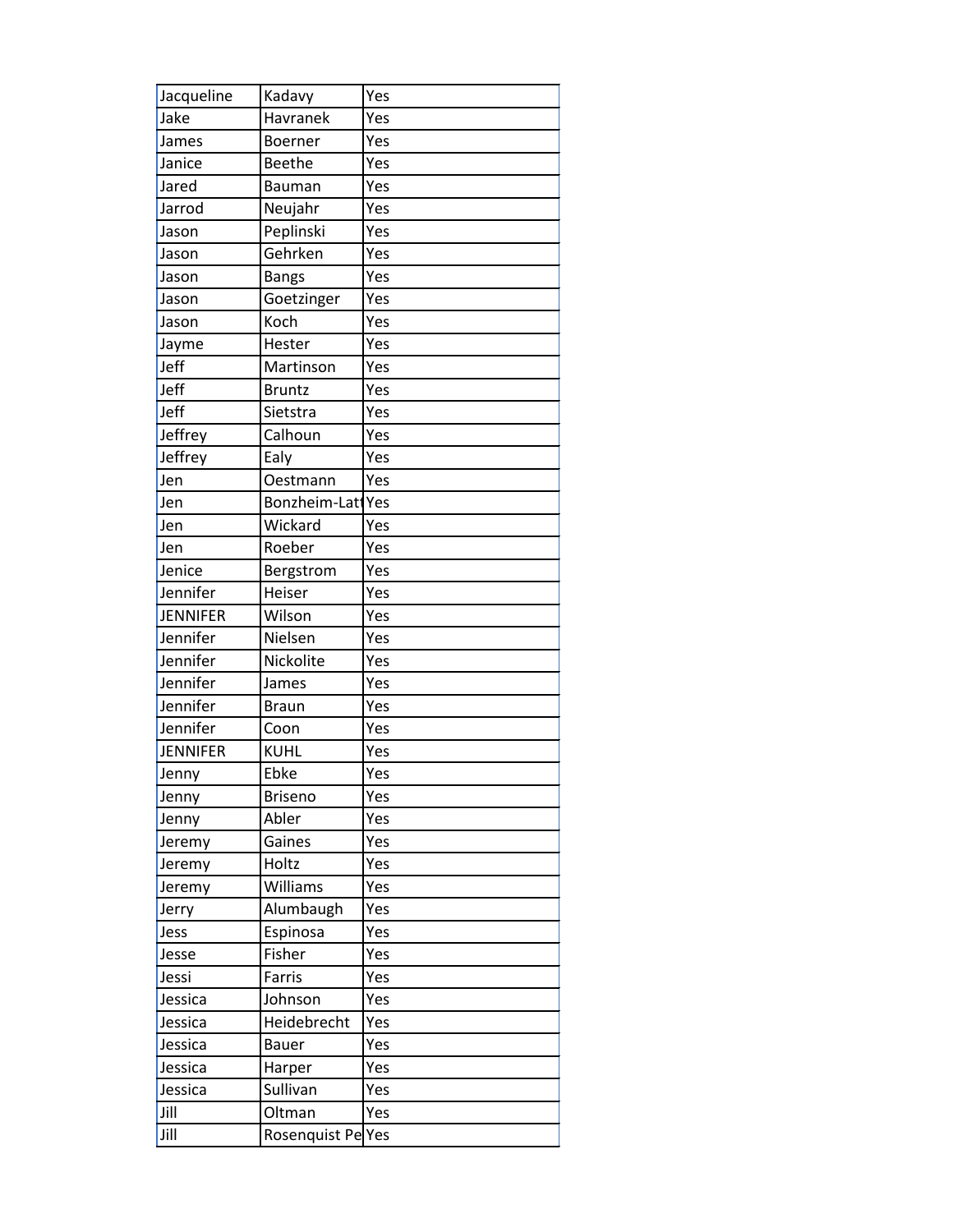| Jacqueline      | Kadavy                        | Yes |
|-----------------|-------------------------------|-----|
| Jake            | Havranek                      | Yes |
| James           | Boerner                       | Yes |
| Janice          | <b>Beethe</b>                 | Yes |
| Jared           | Bauman                        | Yes |
| Jarrod          | Neujahr                       | Yes |
| Jason           | Peplinski                     | Yes |
| Jason           | Gehrken                       | Yes |
| Jason           | <b>Bangs</b>                  | Yes |
| Jason           | Goetzinger                    | Yes |
| Jason           | Koch                          | Yes |
| Jayme           | Hester                        | Yes |
| Jeff            | Martinson                     | Yes |
| Jeff            | <b>Bruntz</b>                 | Yes |
| Jeff            | Sietstra                      | Yes |
| Jeffrey         | Calhoun                       | Yes |
| Jeffrey         | Ealy                          | Yes |
| Jen             | Oestmann                      | Yes |
| Jen             | Bonzheim-Lat <sup>I</sup> Yes |     |
| Jen             | Wickard                       | Yes |
| Jen             | Roeber                        | Yes |
| Jenice          | Bergstrom                     | Yes |
| Jennifer        | Heiser                        | Yes |
| <b>JENNIFER</b> | Wilson                        | Yes |
| Jennifer        | Nielsen                       | Yes |
| Jennifer        | Nickolite                     | Yes |
| Jennifer        | James                         | Yes |
| Jennifer        | <b>Braun</b>                  | Yes |
| Jennifer        | Coon                          | Yes |
| <b>JENNIFER</b> | <b>KUHL</b>                   | Yes |
| Jenny           | Ebke                          | Yes |
| Jenny           | <b>Briseno</b>                | Yes |
| Jenny           | Abler                         | Yes |
| Jeremy          | Gaines                        | Yes |
| Jeremy          | Holtz                         | Yes |
| Jeremy          | Williams                      | Yes |
| Jerry           | Alumbaugh                     | Yes |
| Jess            | Espinosa                      | Yes |
| Jesse           | Fisher                        | Yes |
| Jessi           | Farris                        | Yes |
| Jessica         | Johnson                       | Yes |
| Jessica         | Heidebrecht                   | Yes |
| Jessica         | <b>Bauer</b>                  | Yes |
| Jessica         | Harper                        | Yes |
| Jessica         | Sullivan                      | Yes |
| Jill            | Oltman                        | Yes |
| Jill            | Rosenquist Pe                 | Yes |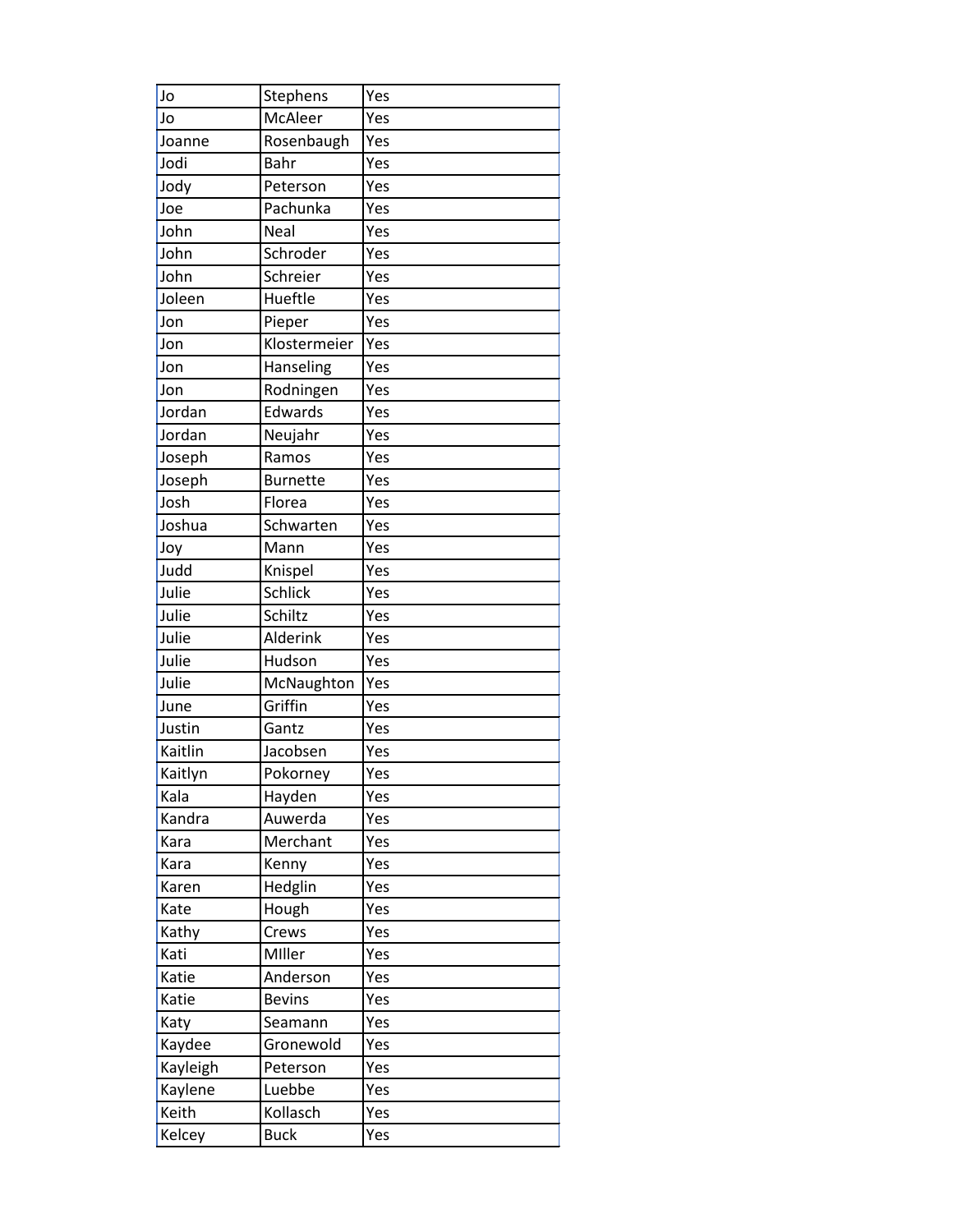| Jo       | Stephens        | Yes |
|----------|-----------------|-----|
| Jo       | McAleer         | Yes |
| Joanne   | Rosenbaugh      | Yes |
| Jodi     | <b>Bahr</b>     | Yes |
| Jody     | Peterson        | Yes |
| Joe      | Pachunka        | Yes |
| John     | Neal            | Yes |
| John     | Schroder        | Yes |
| John     | Schreier        | Yes |
| Joleen   | Hueftle         | Yes |
| Jon      | Pieper          | Yes |
| Jon      | Klostermeier    | Yes |
| Jon      | Hanseling       | Yes |
| Jon      | Rodningen       | Yes |
| Jordan   | Edwards         | Yes |
| Jordan   | Neujahr         | Yes |
| Joseph   | Ramos           | Yes |
| Joseph   | <b>Burnette</b> | Yes |
| Josh     | Florea          | Yes |
| Joshua   | Schwarten       | Yes |
| Joy      | Mann            | Yes |
| Judd     | Knispel         | Yes |
| Julie    | Schlick         | Yes |
| Julie    | Schiltz         | Yes |
| Julie    | Alderink        | Yes |
| Julie    | Hudson          | Yes |
| Julie    | McNaughton      | Yes |
| June     | Griffin         | Yes |
| Justin   | Gantz           | Yes |
| Kaitlin  | Jacobsen        | Yes |
| Kaitlyn  | Pokorney        | Yes |
| Kala     | Hayden          | Yes |
| Kandra   | Auwerda         | Yes |
| Kara     | Merchant        | Yes |
| Kara     | Kenny           | Yes |
| Karen    | Hedglin         | Yes |
| Kate     | Hough           | Yes |
| Kathy    | Crews           | Yes |
| Kati     | Miller          | Yes |
| Katie    | Anderson        | Yes |
| Katie    | <b>Bevins</b>   | Yes |
| Katy     | Seamann         | Yes |
| Kaydee   | Gronewold       | Yes |
| Kayleigh | Peterson        | Yes |
| Kaylene  | Luebbe          | Yes |
| Keith    | Kollasch        | Yes |
| Kelcey   | <b>Buck</b>     | Yes |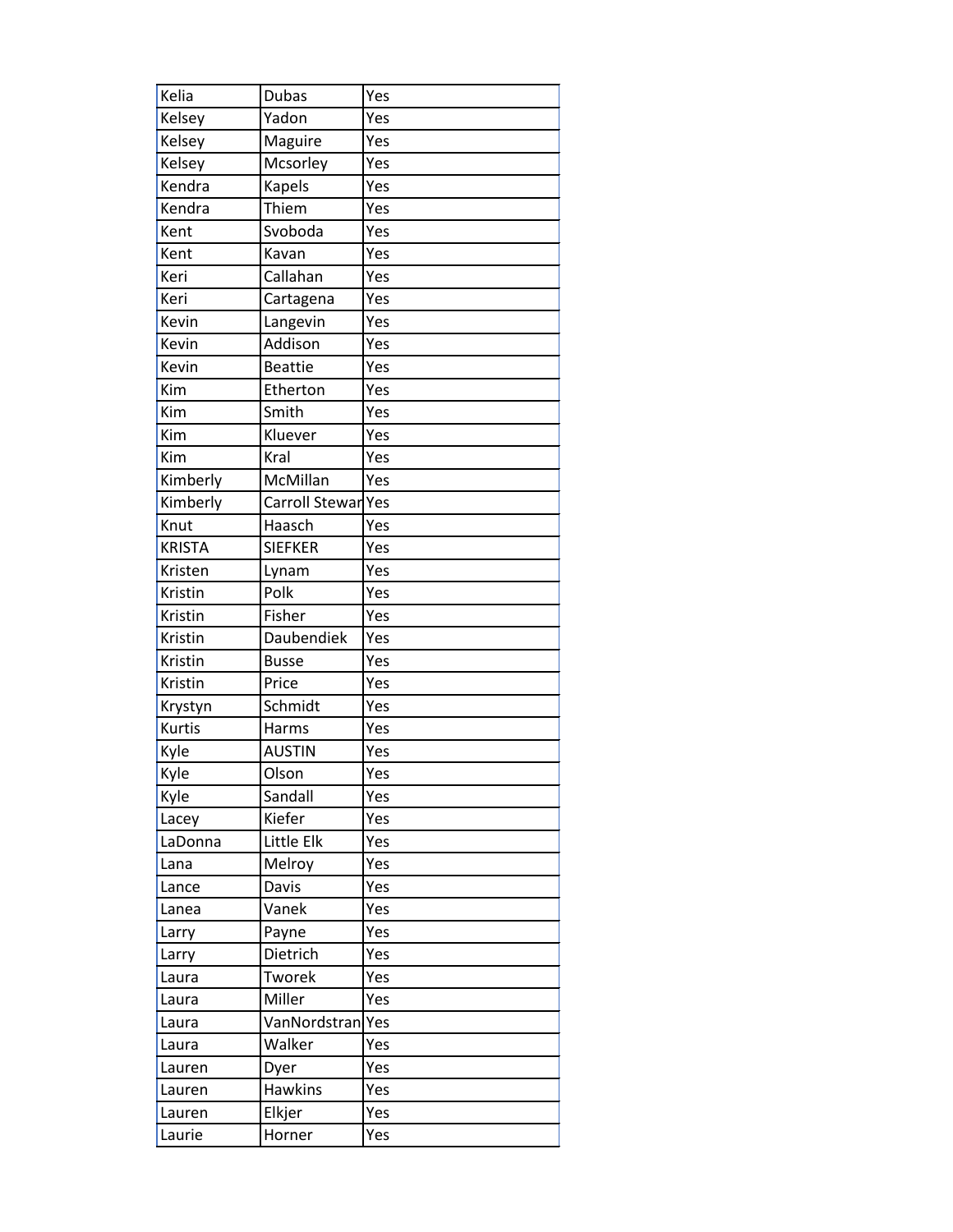| Kelia         | <b>Dubas</b>   | Yes |
|---------------|----------------|-----|
| Kelsey        | Yadon          | Yes |
| Kelsey        | Maguire        | Yes |
| Kelsey        | Mcsorley       | Yes |
| Kendra        | <b>Kapels</b>  | Yes |
| Kendra        | Thiem          | Yes |
| Kent          | Svoboda        | Yes |
| Kent          | Kavan          | Yes |
| Keri          | Callahan       | Yes |
| Keri          | Cartagena      | Yes |
| Kevin         | Langevin       | Yes |
| Kevin         | Addison        | Yes |
| Kevin         | <b>Beattie</b> | Yes |
| Kim           | Etherton       | Yes |
| Kim           | Smith          | Yes |
| Kim           | Kluever        | Yes |
| Kim           | Kral           | Yes |
| Kimberly      | McMillan       | Yes |
| Kimberly      | Carroll Stewar | Yes |
| Knut          | Haasch         | Yes |
| <b>KRISTA</b> | <b>SIEFKER</b> | Yes |
| Kristen       | Lynam          | Yes |
| Kristin       | Polk           | Yes |
| Kristin       | Fisher         | Yes |
| Kristin       | Daubendiek     | Yes |
| Kristin       | <b>Busse</b>   | Yes |
| Kristin       | Price          | Yes |
| Krystyn       | Schmidt        | Yes |
| <b>Kurtis</b> | Harms          | Yes |
| Kyle          | <b>AUSTIN</b>  | Yes |
| Kyle          | Olson          | Yes |
| Kyle          | Sandall        | Yes |
| Lacey         | Kiefer         | Yes |
| LaDonna       | Little Elk     | Yes |
| Lana          | Melroy         | Yes |
| Lance         | Davis          | Yes |
| Lanea         | Vanek          | Yes |
| Larry         | Payne          | Yes |
| Larry         | Dietrich       | Yes |
| Laura         | Tworek         | Yes |
| Laura         | Miller         | Yes |
| Laura         | VanNordstran   | Yes |
| Laura         | Walker         | Yes |
| Lauren        | Dyer           | Yes |
| Lauren        | <b>Hawkins</b> | Yes |
| Lauren        | Elkjer         | Yes |
| Laurie        | Horner         | Yes |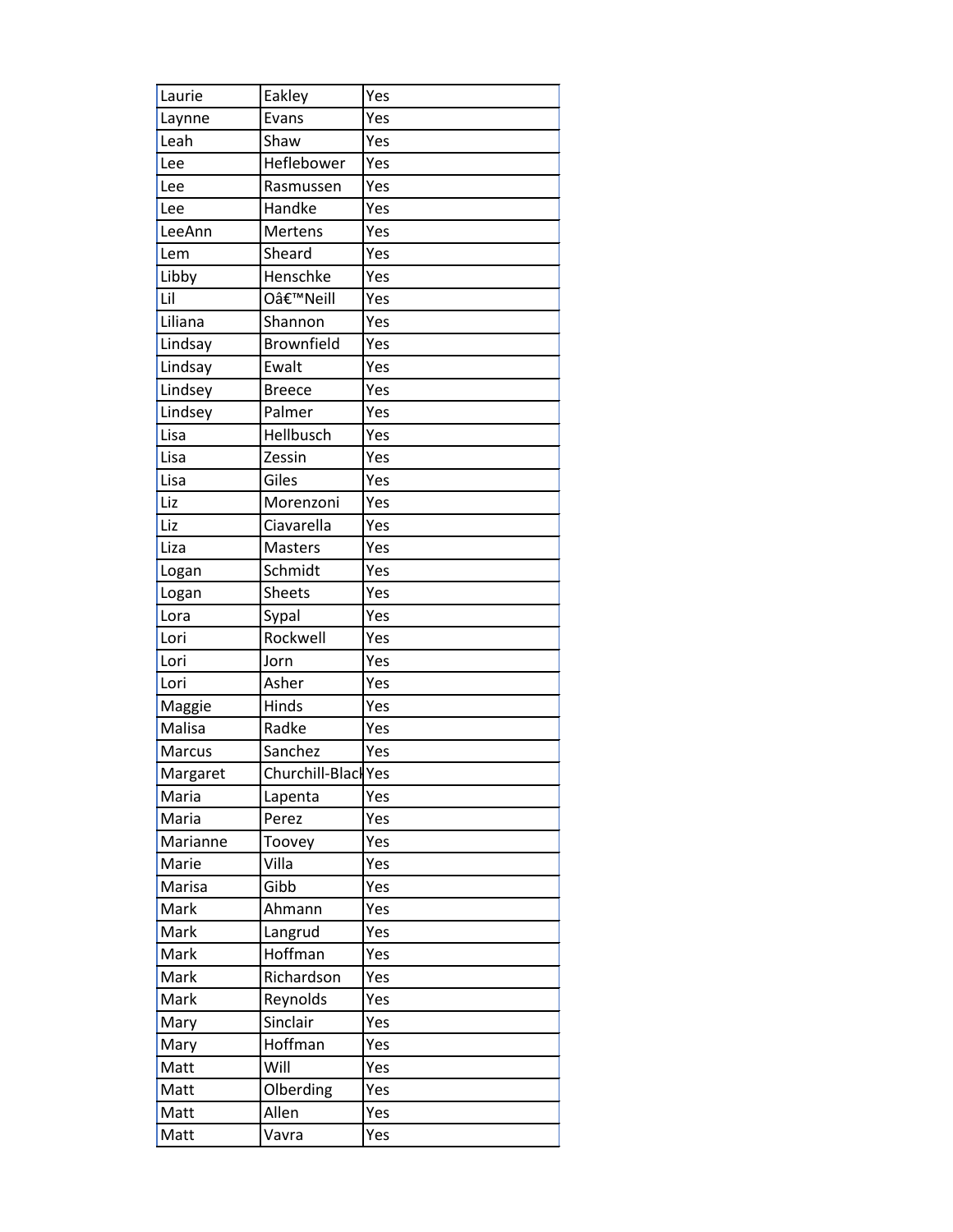| Laurie   | Eakley              | Yes |
|----------|---------------------|-----|
| Laynne   | Evans               | Yes |
| Leah     | Shaw                | Yes |
| Lee      | Heflebower          | Yes |
| Lee      | Rasmussen           | Yes |
| Lee      | Handke              | Yes |
| LeeAnn   | Mertens             | Yes |
| Lem      | Sheard              | Yes |
| Libby    | Henschke            | Yes |
| Lil      | O'Neill             | Yes |
| Liliana  | Shannon             | Yes |
| Lindsay  | Brownfield          | Yes |
| Lindsay  | Ewalt               | Yes |
| Lindsey  | <b>Breece</b>       | Yes |
| Lindsey  | Palmer              | Yes |
| Lisa     | Hellbusch           | Yes |
| Lisa     | Zessin              | Yes |
| Lisa     | Giles               | Yes |
| Liz      | Morenzoni           | Yes |
| Liz      | Ciavarella          | Yes |
| Liza     | <b>Masters</b>      | Yes |
| Logan    | Schmidt             | Yes |
| Logan    | <b>Sheets</b>       | Yes |
| Lora     | Sypal               | Yes |
| Lori     | Rockwell            | Yes |
| Lori     | Jorn                | Yes |
| Lori     | Asher               | Yes |
| Maggie   | Hinds               | Yes |
| Malisa   | Radke               | Yes |
| Marcus   | Sanchez             | Yes |
| Margaret | Churchill-Black Yes |     |
| Maria    | Lapenta             | Yes |
| Maria    | Perez               | Yes |
| Marianne | Toovey              | Yes |
| Marie    | Villa               | Yes |
| Marisa   | Gibb                | Yes |
| Mark     | Ahmann              | Yes |
| Mark     | Langrud             | Yes |
| Mark     | Hoffman             | Yes |
| Mark     | Richardson          | Yes |
| Mark     | Reynolds            | Yes |
| Mary     | Sinclair            | Yes |
| Mary     | Hoffman             | Yes |
| Matt     | Will                | Yes |
| Matt     | Olberding           | Yes |
| Matt     | Allen               | Yes |
| Matt     | Vavra               | Yes |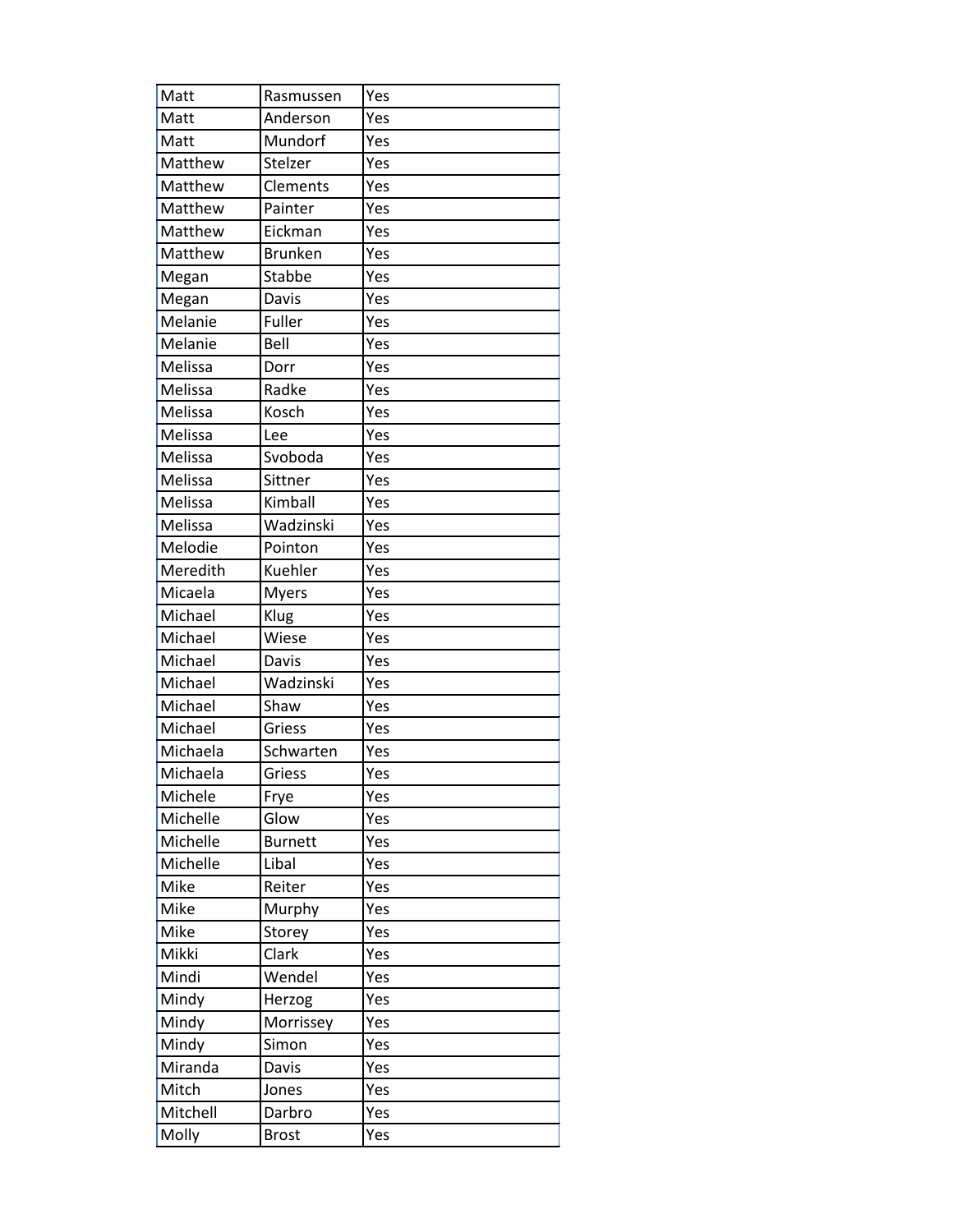| Matt     | Rasmussen      | Yes |
|----------|----------------|-----|
| Matt     | Anderson       | Yes |
| Matt     | Mundorf        | Yes |
| Matthew  | Stelzer        | Yes |
| Matthew  | Clements       | Yes |
| Matthew  | Painter        | Yes |
| Matthew  | Eickman        | Yes |
| Matthew  | <b>Brunken</b> | Yes |
| Megan    | Stabbe         | Yes |
| Megan    | Davis          | Yes |
| Melanie  | Fuller         | Yes |
| Melanie  | Bell           | Yes |
| Melissa  | Dorr           | Yes |
| Melissa  | Radke          | Yes |
| Melissa  | Kosch          | Yes |
| Melissa  | Lee            | Yes |
| Melissa  | Svoboda        | Yes |
| Melissa  | Sittner        | Yes |
| Melissa  | Kimball        | Yes |
| Melissa  | Wadzinski      | Yes |
| Melodie  | Pointon        | Yes |
| Meredith | Kuehler        | Yes |
| Micaela  | <b>Myers</b>   | Yes |
| Michael  | Klug           | Yes |
| Michael  | Wiese          | Yes |
| Michael  | Davis          | Yes |
| Michael  | Wadzinski      | Yes |
| Michael  | Shaw           | Yes |
| Michael  | Griess         | Yes |
| Michaela | Schwarten      | Yes |
| Michaela | Griess         | Yes |
| Michele  | Frye           | Yes |
| Michelle | Glow           | Yes |
| Michelle | <b>Burnett</b> | Yes |
| Michelle | Libal          | Yes |
| Mike     | Reiter         | Yes |
| Mike     | Murphy         | Yes |
| Mike     | Storey         | Yes |
| Mikki    | Clark          | Yes |
| Mindi    | Wendel         | Yes |
| Mindy    | Herzog         | Yes |
| Mindy    | Morrissey      | Yes |
| Mindy    | Simon          | Yes |
| Miranda  | Davis          | Yes |
| Mitch    | Jones          | Yes |
| Mitchell | Darbro         | Yes |
| Molly    | <b>Brost</b>   | Yes |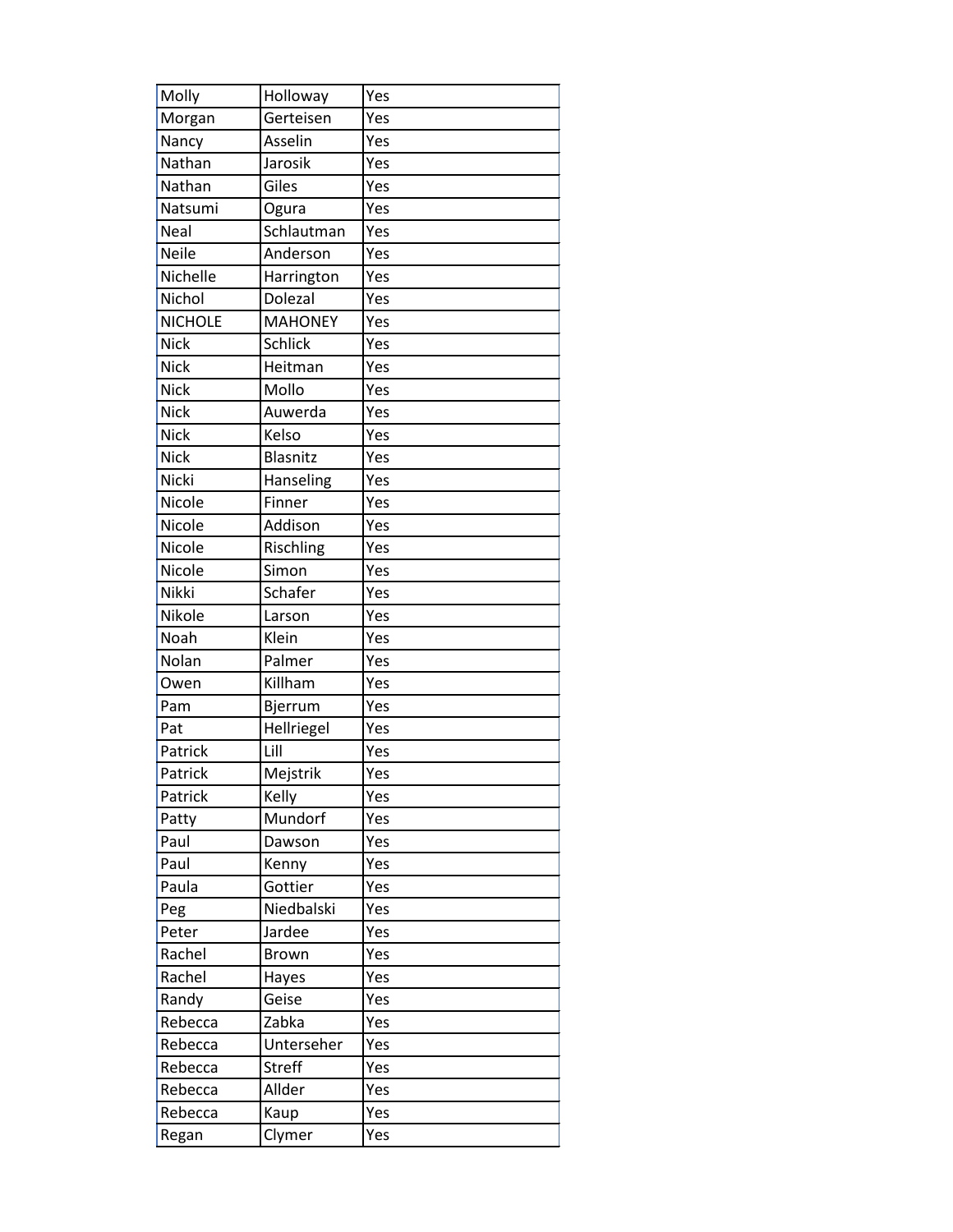| Molly          | Holloway       | Yes |
|----------------|----------------|-----|
| Morgan         | Gerteisen      | Yes |
| Nancy          | Asselin        | Yes |
| Nathan         | Jarosik        | Yes |
| Nathan         | Giles          | Yes |
| Natsumi        | Ogura          | Yes |
| Neal           | Schlautman     | Yes |
| Neile          | Anderson       | Yes |
| Nichelle       | Harrington     | Yes |
| Nichol         | Dolezal        | Yes |
| <b>NICHOLE</b> | <b>MAHONEY</b> | Yes |
| <b>Nick</b>    | <b>Schlick</b> | Yes |
| <b>Nick</b>    | Heitman        | Yes |
| <b>Nick</b>    | Mollo          | Yes |
| Nick           | Auwerda        | Yes |
| <b>Nick</b>    | Kelso          | Yes |
| <b>Nick</b>    | Blasnitz       | Yes |
| Nicki          | Hanseling      | Yes |
| Nicole         | Finner         | Yes |
| Nicole         | Addison        | Yes |
| Nicole         | Rischling      | Yes |
| Nicole         | Simon          | Yes |
| Nikki          | Schafer        | Yes |
| Nikole         | Larson         | Yes |
| Noah           | Klein          | Yes |
| Nolan          | Palmer         | Yes |
| Owen           | Killham        | Yes |
| Pam            | Bjerrum        | Yes |
| Pat            | Hellriegel     | Yes |
| Patrick        | Lill           | Yes |
| Patrick        | Mejstrik       | Yes |
| Patrick        | Kelly          | Yes |
| Patty          | Mundorf        | Yes |
| Paul           | Dawson         | Yes |
| Paul           | Kenny          | Yes |
| Paula          | Gottier        | Yes |
| Peg            | Niedbalski     | Yes |
| Peter          | Jardee         | Yes |
| Rachel         | <b>Brown</b>   | Yes |
| Rachel         | Hayes          | Yes |
| Randy          | Geise          | Yes |
| Rebecca        | Zabka          | Yes |
| Rebecca        | Unterseher     | Yes |
| Rebecca        | <b>Streff</b>  | Yes |
| Rebecca        | Allder         | Yes |
| Rebecca        | Kaup           | Yes |
| Regan          | Clymer         | Yes |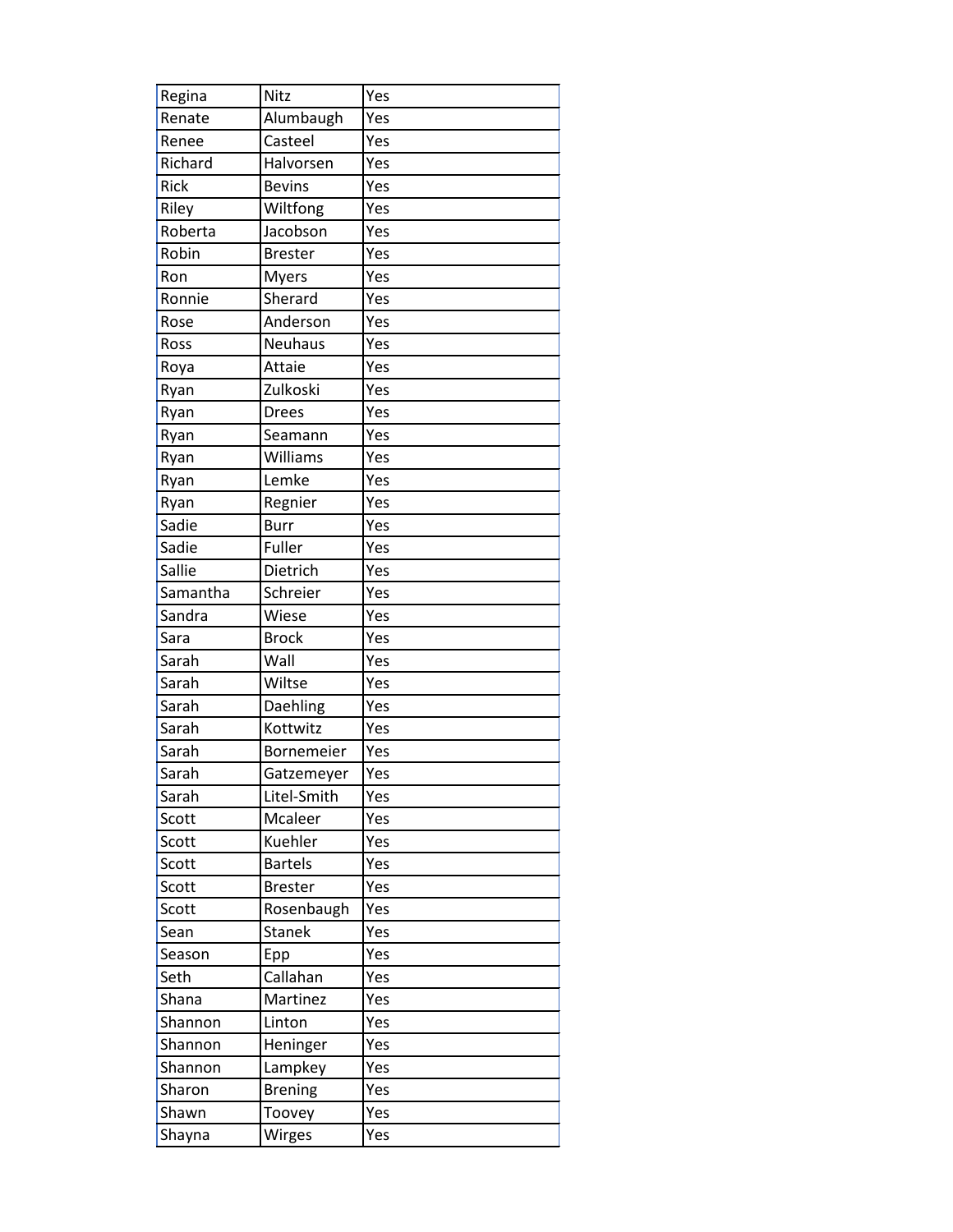| Regina   | Nitz           | Yes |
|----------|----------------|-----|
| Renate   | Alumbaugh      | Yes |
| Renee    | Casteel        | Yes |
| Richard  | Halvorsen      | Yes |
| Rick     | <b>Bevins</b>  | Yes |
| Riley    | Wiltfong       | Yes |
| Roberta  | Jacobson       | Yes |
| Robin    | <b>Brester</b> | Yes |
| Ron      | <b>Myers</b>   | Yes |
| Ronnie   | Sherard        | Yes |
| Rose     | Anderson       | Yes |
| Ross     | Neuhaus        | Yes |
| Roya     | Attaie         | Yes |
| Ryan     | Zulkoski       | Yes |
| Ryan     | <b>Drees</b>   | Yes |
| Ryan     | Seamann        | Yes |
| Ryan     | Williams       | Yes |
| Ryan     | Lemke          | Yes |
| Ryan     | Regnier        | Yes |
| Sadie    | <b>Burr</b>    | Yes |
| Sadie    | Fuller         | Yes |
| Sallie   | Dietrich       | Yes |
| Samantha | Schreier       | Yes |
| Sandra   | Wiese          | Yes |
| Sara     | <b>Brock</b>   | Yes |
| Sarah    | Wall           | Yes |
| Sarah    | Wiltse         | Yes |
| Sarah    | Daehling       | Yes |
| Sarah    | Kottwitz       | Yes |
| Sarah    | Bornemeier     | Yes |
| Sarah    | Gatzemeyer     | Yes |
| Sarah    | Litel-Smith    | Yes |
| Scott    | Mcaleer        | Yes |
| Scott    | Kuehler        | Yes |
| Scott    | <b>Bartels</b> | Yes |
| Scott    | <b>Brester</b> | Yes |
| Scott    | Rosenbaugh     | Yes |
| Sean     | <b>Stanek</b>  | Yes |
| Season   | Epp            | Yes |
| Seth     | Callahan       | Yes |
| Shana    | Martinez       | Yes |
| Shannon  | Linton         | Yes |
| Shannon  | Heninger       | Yes |
| Shannon  | Lampkey        | Yes |
| Sharon   | <b>Brening</b> | Yes |
| Shawn    | Toovey         | Yes |
| Shayna   | Wirges         | Yes |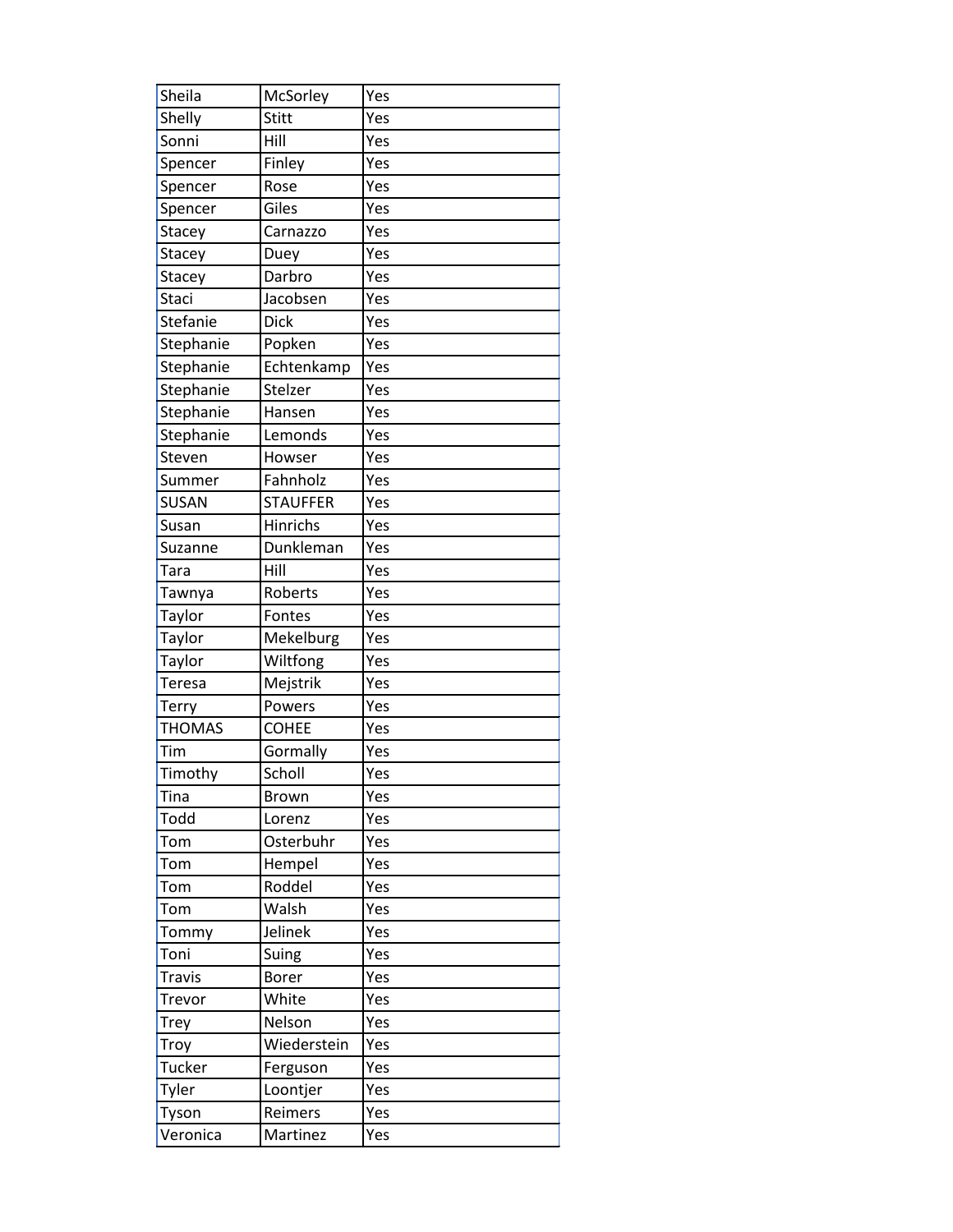| Sheila        | McSorley        | Yes |
|---------------|-----------------|-----|
| Shelly        | <b>Stitt</b>    | Yes |
| Sonni         | Hill            | Yes |
| Spencer       | Finley          | Yes |
| Spencer       | Rose            | Yes |
| Spencer       | Giles           | Yes |
| Stacey        | Carnazzo        | Yes |
| Stacey        | Duey            | Yes |
| Stacey        | Darbro          | Yes |
| <b>Staci</b>  | Jacobsen        | Yes |
| Stefanie      | <b>Dick</b>     | Yes |
| Stephanie     | Popken          | Yes |
| Stephanie     | Echtenkamp      | Yes |
| Stephanie     | Stelzer         | Yes |
| Stephanie     | Hansen          | Yes |
| Stephanie     | Lemonds         | Yes |
| Steven        | Howser          | Yes |
| Summer        | Fahnholz        | Yes |
| SUSAN         | <b>STAUFFER</b> | Yes |
| Susan         | <b>Hinrichs</b> | Yes |
| Suzanne       | Dunkleman       | Yes |
| Tara          | Hill            | Yes |
| Tawnya        | Roberts         | Yes |
| Taylor        | Fontes          | Yes |
| Taylor        | Mekelburg       | Yes |
| Taylor        | Wiltfong        | Yes |
| <b>Teresa</b> | Mejstrik        | Yes |
| Terry         | Powers          | Yes |
| <b>THOMAS</b> | <b>COHEE</b>    | Yes |
| Tim           | Gormally        | Yes |
| Timothy       | Scholl          | Yes |
| Tina          | Brown           | Yes |
| Todd          | Lorenz          | Yes |
| Tom           | Osterbuhr       | Yes |
| Tom           | Hempel          | Yes |
| Tom           | Roddel          | Yes |
| Tom           | Walsh           | Yes |
| Tommy         | Jelinek         | Yes |
| Toni          | Suing           | Yes |
| <b>Travis</b> | <b>Borer</b>    | Yes |
| Trevor        | White           | Yes |
| Trey          | Nelson          | Yes |
| Troy          | Wiederstein     | Yes |
| Tucker        | Ferguson        | Yes |
| Tyler         | Loontjer        | Yes |
| Tyson         | Reimers         | Yes |
| Veronica      | Martinez        | Yes |